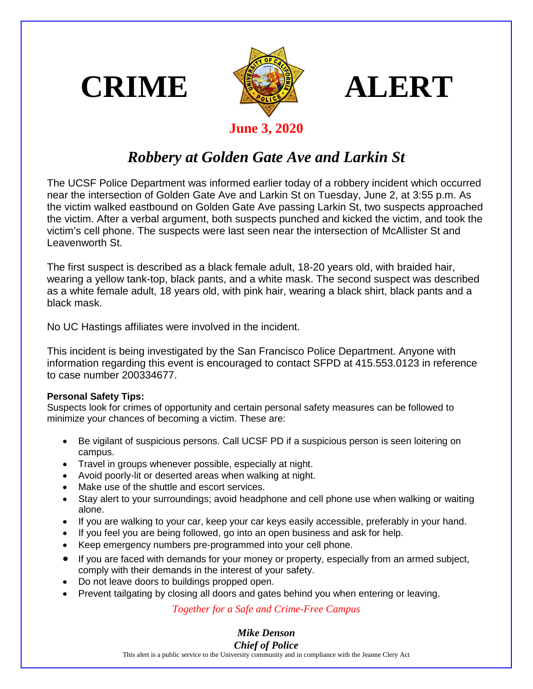





## **June 3, 2020**

## *Robbery at Golden Gate Ave and Larkin St*

The UCSF Police Department was informed earlier today of a robbery incident which occurred near the intersection of Golden Gate Ave and Larkin St on Tuesday, June 2, at 3:55 p.m. As the victim walked eastbound on Golden Gate Ave passing Larkin St, two suspects approached the victim. After a verbal argument, both suspects punched and kicked the victim, and took the victim's cell phone. The suspects were last seen near the intersection of McAllister St and Leavenworth St.

The first suspect is described as a black female adult, 18-20 years old, with braided hair, wearing a yellow tank-top, black pants, and a white mask. The second suspect was described as a white female adult, 18 years old, with pink hair, wearing a black shirt, black pants and a black mask.

No UC Hastings affiliates were involved in the incident.

This incident is being investigated by the San Francisco Police Department. Anyone with information regarding this event is encouraged to contact SFPD at 415.553.0123 in reference to case number 200334677.

## **Personal Safety Tips:**

Suspects look for crimes of opportunity and certain personal safety measures can be followed to minimize your chances of becoming a victim. These are:

- Be vigilant of suspicious persons. Call UCSF PD if a suspicious person is seen loitering on campus.
- Travel in groups whenever possible, especially at night.
- Avoid poorly-lit or deserted areas when walking at night.
- Make use of the shuttle and escort services.
- Stay alert to your surroundings; avoid headphone and cell phone use when walking or waiting alone.
- If you are walking to your car, keep your car keys easily accessible, preferably in your hand.
- If you feel you are being followed, go into an open business and ask for help.
- Keep emergency numbers pre-programmed into your cell phone.
- If you are faced with demands for your money or property, especially from an armed subject, comply with their demands in the interest of your safety.
- Do not leave doors to buildings propped open.
- Prevent tailgating by closing all doors and gates behind you when entering or leaving.

*Together for a Safe and Crime-Free Campus*

## *Mike Denson Chief of Police*

This alert is a public service to the University community and in compliance with the Jeanne Clery Act